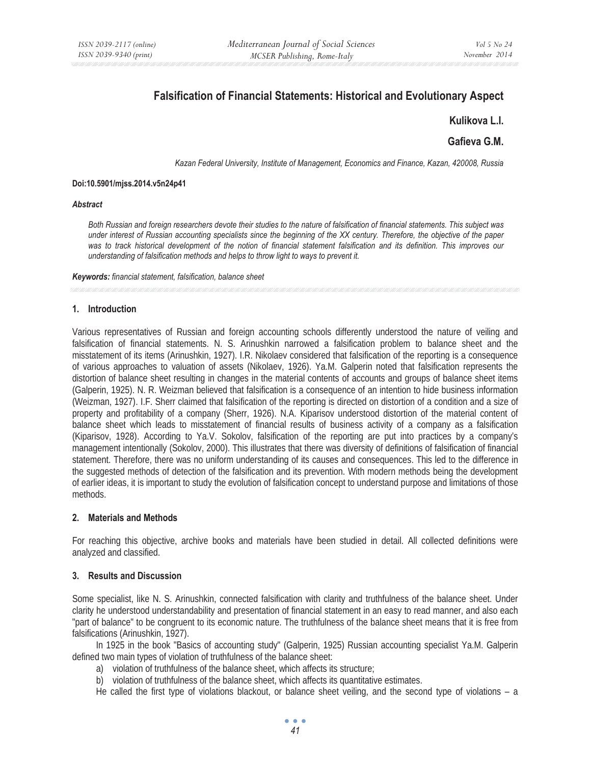# **Falsification of Financial Statements: Historical and Evolutionary Aspect**

# **Kulikova L.I.**

# **Gafieva G.M.**

*Kazan Federal University, Institute of Management, Economics and Finance, Kazan, 420008, Russia* 

#### **Doi:10.5901/mjss.2014.v5n24p41**

#### *Abstract*

*Both Russian and foreign researchers devote their studies to the nature of falsification of financial statements. This subject was under interest of Russian accounting specialists since the beginning of the XX century. Therefore, the objective of the paper*  was to track historical development of the notion of financial statement falsification and its definition. This improves our *understanding of falsification methods and helps to throw light to ways to prevent it.* 

*Keywords: financial statement, falsification, balance sheet*

### **1. Introduction**

Various representatives of Russian and foreign accounting schools differently understood the nature of veiling and falsification of financial statements. N. S. Arinushkin narrowed a falsification problem to balance sheet and the misstatement of its items (Arinushkin, 1927). I.R. Nikolaev considered that falsification of the reporting is a consequence of various approaches to valuation of assets (Nikolaev, 1926). Ya.M. Galperin noted that falsification represents the distortion of balance sheet resulting in changes in the material contents of accounts and groups of balance sheet items (Galperin, 1925). N. R. Weizman believed that falsification is a consequence of an intention to hide business information (Weizman, 1927). I.F. Sherr claimed that falsification of the reporting is directed on distortion of a condition and a size of property and profitability of a company (Sherr, 1926). N.A. Kiparisov understood distortion of the material content of balance sheet which leads to misstatement of financial results of business activity of a company as a falsification (Kiparisov, 1928). According to Ya.V. Sokolov, falsification of the reporting are put into practices by a company's management intentionally (Sokolov, 2000). This illustrates that there was diversity of definitions of falsification of financial statement. Therefore, there was no uniform understanding of its causes and consequences. This led to the difference in the suggested methods of detection of the falsification and its prevention. With modern methods being the development of earlier ideas, it is important to study the evolution of falsification concept to understand purpose and limitations of those methods.

# **2. Materials and Methods**

For reaching this objective, archive books and materials have been studied in detail. All collected definitions were analyzed and classified.

# **3. Results and Discussion**

Some specialist, like N. S. Arinushkin, connected falsification with clarity and truthfulness of the balance sheet. Under clarity he understood understandability and presentation of financial statement in an easy to read manner, and also each "part of balance" to be congruent to its economic nature. The truthfulness of the balance sheet means that it is free from falsifications (Arinushkin, 1927).

In 1925 in the book "Basics of accounting study" (Galperin, 1925) Russian accounting specialist Ya.M. Galperin defined two main types of violation of truthfulness of the balance sheet:

- a) violation of truthfulness of the balance sheet, which affects its structure;
- b) violation of truthfulness of the balance sheet, which affects its quantitative estimates.

He called the first type of violations blackout, or balance sheet veiling, and the second type of violations – a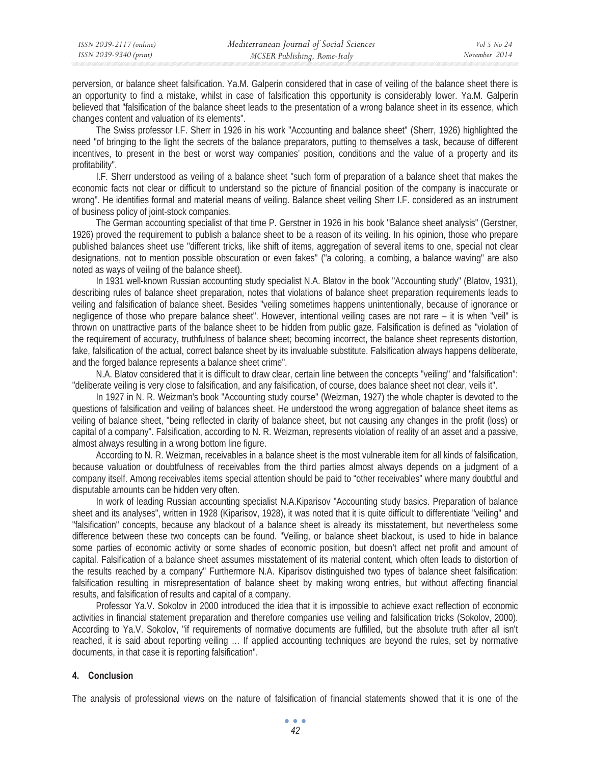perversion, or balance sheet falsification. Ya.M. Galperin considered that in case of veiling of the balance sheet there is an opportunity to find a mistake, whilst in case of falsification this opportunity is considerably lower. Ya.M. Galperin believed that "falsification of the balance sheet leads to the presentation of a wrong balance sheet in its essence, which changes content and valuation of its elements".

The Swiss professor I.F. Sherr in 1926 in his work "Accounting and balance sheet" (Sherr, 1926) highlighted the need "of bringing to the light the secrets of the balance preparators, putting to themselves a task, because of different incentives, to present in the best or worst way companies' position, conditions and the value of a property and its profitability".

I.F. Sherr understood as veiling of a balance sheet "such form of preparation of a balance sheet that makes the economic facts not clear or difficult to understand so the picture of financial position of the company is inaccurate or wrong". He identifies formal and material means of veiling. Balance sheet veiling Sherr I.F. considered as an instrument of business policy of joint-stock companies.

The German accounting specialist of that time P. Gerstner in 1926 in his book "Balance sheet analysis" (Gerstner, 1926) proved the requirement to publish a balance sheet to be a reason of its veiling. In his opinion, those who prepare published balances sheet use "different tricks, like shift of items, aggregation of several items to one, special not clear designations, not to mention possible obscuration or even fakes" ("a coloring, a combing, a balance waving" are also noted as ways of veiling of the balance sheet).

In 1931 well-known Russian accounting study specialist N.A. Blatov in the book "Accounting study" (Blatov, 1931), describing rules of balance sheet preparation, notes that violations of balance sheet preparation requirements leads to veiling and falsification of balance sheet. Besides "veiling sometimes happens unintentionally, because of ignorance or negligence of those who prepare balance sheet". However, intentional veiling cases are not rare – it is when "veil" is thrown on unattractive parts of the balance sheet to be hidden from public gaze. Falsification is defined as "violation of the requirement of accuracy, truthfulness of balance sheet; becoming incorrect, the balance sheet represents distortion, fake, falsification of the actual, correct balance sheet by its invaluable substitute. Falsification always happens deliberate, and the forged balance represents a balance sheet crime".

N.A. Blatov considered that it is difficult to draw clear, certain line between the concepts "veiling" and "falsification": "deliberate veiling is very close to falsification, and any falsification, of course, does balance sheet not clear, veils it".

In 1927 in N. R. Weizman's book "Accounting study course" (Weizman, 1927) the whole chapter is devoted to the questions of falsification and veiling of balances sheet. He understood the wrong aggregation of balance sheet items as veiling of balance sheet, "being reflected in clarity of balance sheet, but not causing any changes in the profit (loss) or capital of a company". Falsification, according to N. R. Weizman, represents violation of reality of an asset and a passive, almost always resulting in a wrong bottom line figure.

According to N. R. Weizman, receivables in a balance sheet is the most vulnerable item for all kinds of falsification, because valuation or doubtfulness of receivables from the third parties almost always depends on a judgment of a company itself. Among receivables items special attention should be paid to "other receivables" where many doubtful and disputable amounts can be hidden very often.

In work of leading Russian accounting specialist N.A.Kiparisov "Accounting study basics. Preparation of balance sheet and its analyses", written in 1928 (Kiparisov, 1928), it was noted that it is quite difficult to differentiate "veiling" and "falsification" concepts, because any blackout of a balance sheet is already its misstatement, but nevertheless some difference between these two concepts can be found. "Veiling, or balance sheet blackout, is used to hide in balance some parties of economic activity or some shades of economic position, but doesn't affect net profit and amount of capital. Falsification of a balance sheet assumes misstatement of its material content, which often leads to distortion of the results reached by a company" Furthermore N.A. Kiparisov distinguished two types of balance sheet falsification: falsification resulting in misrepresentation of balance sheet by making wrong entries, but without affecting financial results, and falsification of results and capital of a company.

Professor Ya.V. Sokolov in 2000 introduced the idea that it is impossible to achieve exact reflection of economic activities in financial statement preparation and therefore companies use veiling and falsification tricks (Sokolov, 2000). According to Ya.V. Sokolov, "if requirements of normative documents are fulfilled, but the absolute truth after all isn't reached, it is said about reporting veiling … If applied accounting techniques are beyond the rules, set by normative documents, in that case it is reporting falsification".

#### **4. Conclusion**

The analysis of professional views on the nature of falsification of financial statements showed that it is one of the